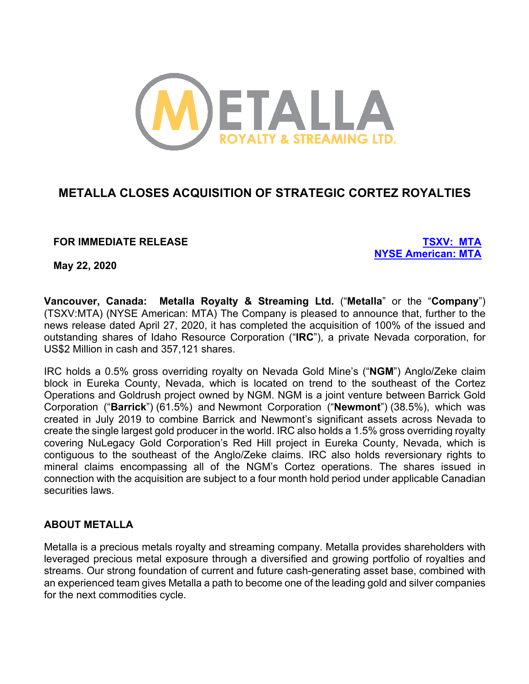

# **METALLA CLOSES ACQUISITION OF STRATEGIC CORTEZ ROYALTIES**

# **FOR IMMEDIATE RELEASE TSXV: MTA**

**NYSE American: MTA**

**May 22, 2020**

**Vancouver, Canada: Metalla Royalty & Streaming Ltd.** ("**Metalla**" or the "**Company**") (TSXV:MTA) (NYSE American: MTA) The Company is pleased to announce that, further to the news release dated April 27, 2020, it has completed the acquisition of 100% of the issued and outstanding shares of Idaho Resource Corporation ("**IRC**"), a private Nevada corporation, for US\$2 Million in cash and 357,121 shares.

IRC holds a 0.5% gross overriding royalty on Nevada Gold Mine's ("**NGM**") Anglo/Zeke claim block in Eureka County, Nevada, which is located on trend to the southeast of the Cortez Operations and Goldrush project owned by NGM. NGM is a joint venture between Barrick Gold Corporation ("**Barrick**") (61.5%) and Newmont Corporation ("**Newmont**") (38.5%), which was created in July 2019 to combine Barrick and Newmont's significant assets across Nevada to create the single largest gold producer in the world. IRC also holds a 1.5% gross overriding royalty covering NuLegacy Gold Corporation's Red Hill project in Eureka County, Nevada, which is contiguous to the southeast of the Anglo/Zeke claims. IRC also holds reversionary rights to mineral claims encompassing all of the NGM's Cortez operations. The shares issued in connection with the acquisition are subject to a four month hold period under applicable Canadian securities laws.

# **ABOUT METALLA**

Metalla is a precious metals royalty and streaming company. Metalla provides shareholders with leveraged precious metal exposure through a diversified and growing portfolio of royalties and streams. Our strong foundation of current and future cash-generating asset base, combined with an experienced team gives Metalla a path to become one of the leading gold and silver companies for the next commodities cycle.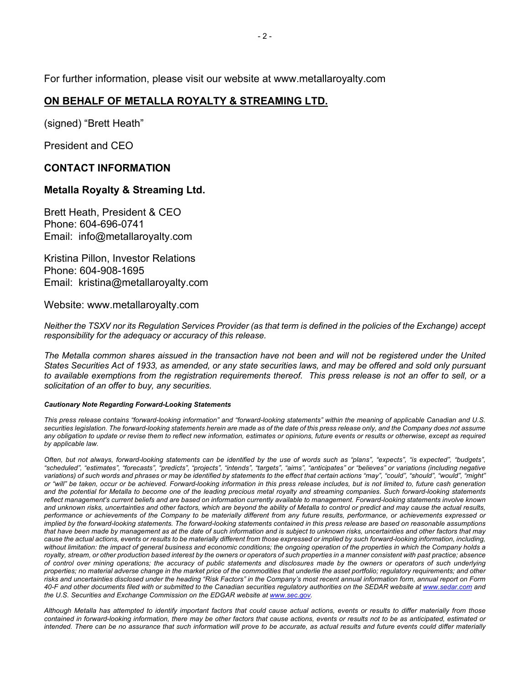For further information, please visit our website at www.metallaroyalty.com

### **ON BEHALF OF METALLA ROYALTY & STREAMING LTD.**

(signed) "Brett Heath"

President and CEO

#### **CONTACT INFORMATION**

#### **Metalla Royalty & Streaming Ltd.**

Brett Heath, President & CEO Phone: 604-696-0741 Email: info@metallaroyalty.com

Kristina Pillon, Investor Relations Phone: 604-908-1695 Email: kristina@metallaroyalty.com

Website: www.metallaroyalty.com

*Neither the TSXV nor its Regulation Services Provider (as that term is defined in the policies of the Exchange) accept responsibility for the adequacy or accuracy of this release.*

*The Metalla common shares aissued in the transaction have not been and will not be registered under the United States Securities Act of 1933, as amended, or any state securities laws, and may be offered and sold only pursuant*  to available exemptions from the registration requirements thereof. This press release is not an offer to sell, or a *solicitation of an offer to buy, any securities.*

#### *Cautionary Note Regarding Forward-Looking Statements*

This press release contains "forward-looking information" and "forward-looking statements" within the meaning of applicable Canadian and U.S. securities legislation. The forward-looking statements herein are made as of the date of this press release only, and the Company does not assume *any obligation to update or revise them to reflect new information, estimates or opinions, future events or results or otherwise, except as required by applicable law.*

*Often, but not always, forward-looking statements can be identified by the use of words such as "plans", "expects", "is expected", "budgets", "scheduled", "estimates", "forecasts", "predicts", "projects", "intends", "targets", "aims", "anticipates" or "believes" or variations (including negative*  variations) of such words and phrases or may be identified by statements to the effect that certain actions "may", "could", "should", "would", "might" *or "will" be taken, occur or be achieved. Forward-looking information in this press release includes, but is not limited to, future cash generation and the potential for Metalla to become one of the leading precious metal royalty and streaming companies. Such forward-looking statements reflect management's current beliefs and are based on information currently available to management. Forward-looking statements involve known and unknown risks, uncertainties and other factors, which are beyond the ability of Metalla to control or predict and may cause the actual results, performance or achievements of the Company to be materially different from any future results, performance, or achievements expressed or implied by the forward-looking statements. The forward-looking statements contained in this press release are based on reasonable assumptions that have been made by management as at the date of such information and is subject to unknown risks, uncertainties and other factors that may cause the actual actions, events or results to be materially different from those expressed or implied by such forward-looking information, including, without limitation: the impact of general business and economic conditions; the ongoing operation of the properties in which the Company holds a royalty, stream, or other production based interest by the owners or operators of such properties in a manner consistent with past practice; absence of control over mining operations; the accuracy of public statements and disclosures made by the owners or operators of such underlying properties; no material adverse change in the market price of the commodities that underlie the asset portfolio; regulatory requirements; and other risks and uncertainties disclosed under the heading "Risk Factors" in the Company's most recent annual information form, annual report on Form 40-F and other documents filed with or submitted to the Canadian securities regulatory authorities on the SEDAR website at www.sedar.com and the U.S. Securities and Exchange Commission on the EDGAR website at www.sec.gov.*

*Although Metalla has attempted to identify important factors that could cause actual actions, events or results to differ materially from those contained in forward-looking information, there may be other factors that cause actions, events or results not to be as anticipated, estimated or intended. There can be no assurance that such information will prove to be accurate, as actual results and future events could differ materially*